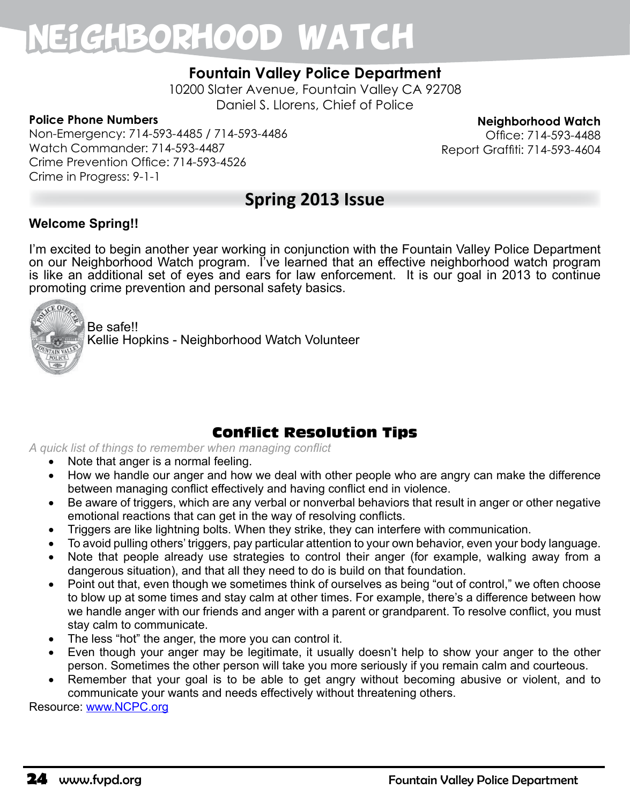## Neighborhood Watch

## **Fountain Valley Police Department**

10200 Slater Avenue, Fountain Valley CA 92708 Daniel S. Llorens, Chief of Police

#### **Police Phone Numbers**

Non-Emergency: 714-593-4485 / 714-593-4486 Watch Commander: 714-593-4487 Crime Prevention Office: 714-593-4526 Crime in Progress: 9-1-1

**Neighborhood Watch**

Office: 714-593-4488 Report Graffiti: 714-593-4604

## **Spring 2013 Issue**

#### **Welcome Spring!!**

I'm excited to begin another year working in conjunction with the Fountain Valley Police Department on our Neighborhood Watch program. I've learned that an effective neighborhood watch program is like an additional set of eyes and ears for law enforcement. It is our goal in 2013 to continue promoting crime prevention and personal safety basics.



Be safe!! Kellie Hopkins - Neighborhood Watch Volunteer

## Conflict Resolution Tips

*A quick list of things to remember when managing conflict* 

- Note that anger is a normal feeling.
- How we handle our anger and how we deal with other people who are angry can make the difference between managing conflict effectively and having conflict end in violence.
- Be aware of triggers, which are any verbal or nonverbal behaviors that result in anger or other negative emotional reactions that can get in the way of resolving conflicts.
- Triggers are like lightning bolts. When they strike, they can interfere with communication.
- To avoid pulling others' triggers, pay particular attention to your own behavior, even your body language.
- Note that people already use strategies to control their anger (for example, walking away from a dangerous situation), and that all they need to do is build on that foundation.
- Point out that, even though we sometimes think of ourselves as being "out of control," we often choose to blow up at some times and stay calm at other times. For example, there's a difference between how we handle anger with our friends and anger with a parent or grandparent. To resolve conflict, you must stay calm to communicate.
- The less "hot" the anger, the more you can control it.
- Even though your anger may be legitimate, it usually doesn't help to show your anger to the other person. Sometimes the other person will take you more seriously if you remain calm and courteous.
- Remember that your goal is to be able to get angry without becoming abusive or violent, and to communicate your wants and needs effectively without threatening others.

Resource: www.NCPC.org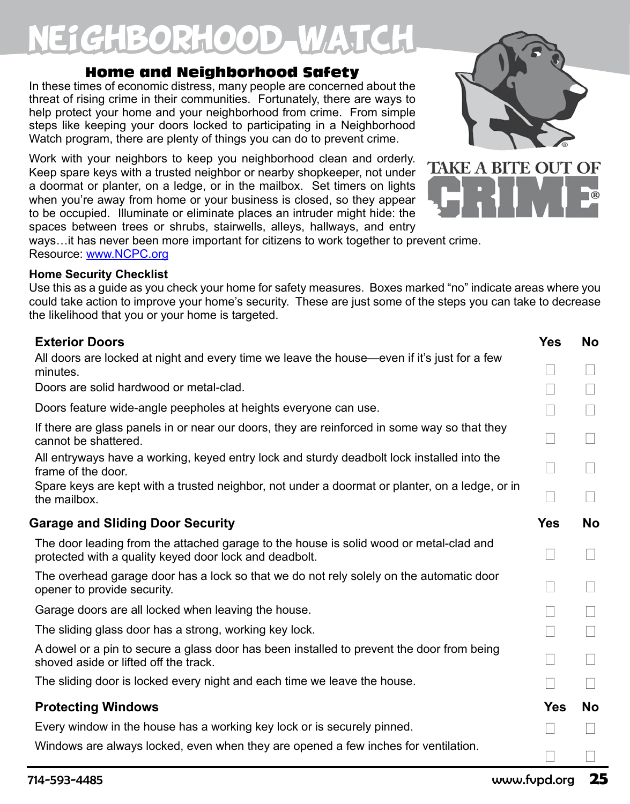## E1GHBORHOOD WATCH

### Home and Neighborhood Safety

In these times of economic distress, many people are concerned about the threat of rising crime in their communities. Fortunately, there are ways to help protect your home and your neighborhood from crime. From simple steps like keeping your doors locked to participating in a Neighborhood Watch program, there are plenty of things you can do to prevent crime.

Work with your neighbors to keep you neighborhood clean and orderly. Keep spare keys with a trusted neighbor or nearby shopkeeper, not under a doormat or planter, on a ledge, or in the mailbox. Set timers on lights when you're away from home or your business is closed, so they appear to be occupied. Illuminate or eliminate places an intruder might hide: the spaces between trees or shrubs, stairwells, alleys, hallways, and entry

ways…it has never been more important for citizens to work together to prevent crime. Resource: www.NCPC.org

#### **Home Security Checklist**

Use this as a guide as you check your home for safety measures. Boxes marked "no" indicate areas where you could take action to improve your home's security. These are just some of the steps you can take to decrease the likelihood that you or your home is targeted.

| <b>Exterior Doors</b>                                                                                                                            | <b>Yes</b> | <b>No</b> |
|--------------------------------------------------------------------------------------------------------------------------------------------------|------------|-----------|
| All doors are locked at night and every time we leave the house—even if it's just for a few<br>minutes.                                          |            |           |
| Doors are solid hardwood or metal-clad.                                                                                                          |            |           |
| Doors feature wide-angle peepholes at heights everyone can use.                                                                                  |            |           |
| If there are glass panels in or near our doors, they are reinforced in some way so that they<br>cannot be shattered.                             |            |           |
| All entryways have a working, keyed entry lock and sturdy deadbolt lock installed into the<br>frame of the door.                                 |            |           |
| Spare keys are kept with a trusted neighbor, not under a doormat or planter, on a ledge, or in<br>the mailbox.                                   |            |           |
| <b>Garage and Sliding Door Security</b>                                                                                                          | <b>Yes</b> | <b>No</b> |
| The door leading from the attached garage to the house is solid wood or metal-clad and<br>protected with a quality keyed door lock and deadbolt. |            |           |
| The overhead garage door has a lock so that we do not rely solely on the automatic door<br>opener to provide security.                           |            |           |
| Garage doors are all locked when leaving the house.                                                                                              |            |           |
| The sliding glass door has a strong, working key lock.                                                                                           |            |           |
| A dowel or a pin to secure a glass door has been installed to prevent the door from being<br>shoved aside or lifted off the track.               |            |           |
| The sliding door is locked every night and each time we leave the house.                                                                         |            |           |
| <b>Protecting Windows</b>                                                                                                                        | Yes        | No        |
| Every window in the house has a working key lock or is securely pinned.                                                                          |            |           |
| Windows are always locked, even when they are opened a few inches for ventilation.                                                               |            |           |

**TAKE A BITE OUT OF**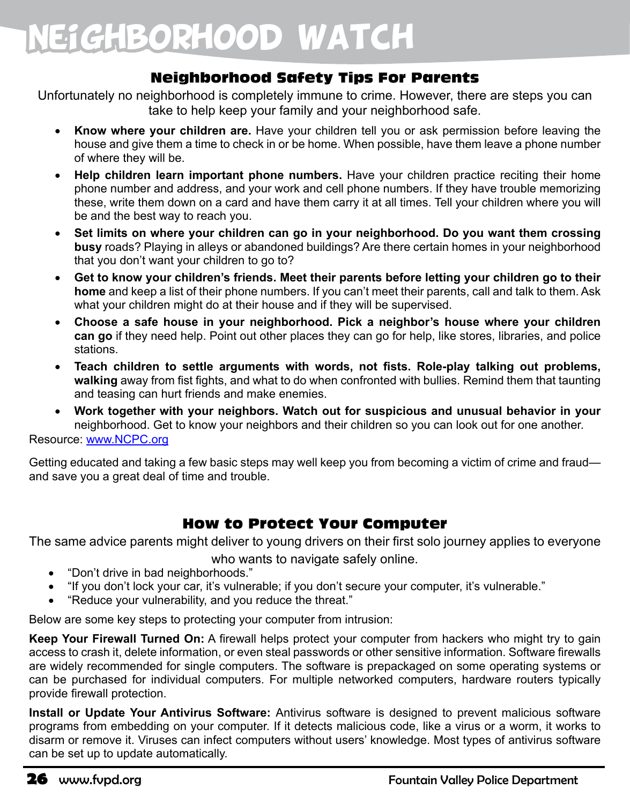## Neighborhood Watch

## Neighborhood Safety Tips For Parents

Unfortunately no neighborhood is completely immune to crime. However, there are steps you can take to help keep your family and your neighborhood safe.

- Know where your children are. Have your children tell you or ask permission before leaving the house and give them a time to check in or be home. When possible, have them leave a phone number of where they will be.
- Help children learn important phone numbers. Have your children practice reciting their home phone number and address, and your work and cell phone numbers. If they have trouble memorizing these, write them down on a card and have them carry it at all times. Tell your children where you will be and the best way to reach you.
- • **Set limits on where your children can go in your neighborhood. Do you want them crossing busy** roads? Playing in alleys or abandoned buildings? Are there certain homes in your neighborhood that you don't want your children to go to?
- Get to know your children's friends. Meet their parents before letting your children go to their **home** and keep a list of their phone numbers. If you can't meet their parents, call and talk to them. Ask what your children might do at their house and if they will be supervised.
- Choose a safe house in your neighborhood. Pick a neighbor's house where your children **can go** if they need help. Point out other places they can go for help, like stores, libraries, and police stations.
- Teach children to settle arguments with words, not fists. Role-play talking out problems, **walking** away from fist fights, and what to do when confronted with bullies. Remind them that taunting and teasing can hurt friends and make enemies.
- Work together with your neighbors. Watch out for suspicious and unusual behavior in your neighborhood. Get to know your neighbors and their children so you can look out for one another.

Resource: www.NCPC.org

Getting educated and taking a few basic steps may well keep you from becoming a victim of crime and fraud and save you a great deal of time and trouble.

## How to Protect Your Computer

The same advice parents might deliver to young drivers on their first solo journey applies to everyone

who wants to navigate safely online.

- "Don't drive in bad neighborhoods."
- "If you don't lock your car, it's vulnerable; if you don't secure your computer, it's vulnerable."
- "Reduce your vulnerability, and you reduce the threat."

Below are some key steps to protecting your computer from intrusion:

**Keep Your Firewall Turned On:** A firewall helps protect your computer from hackers who might try to gain access to crash it, delete information, or even steal passwords or other sensitive information. Software firewalls are widely recommended for single computers. The software is prepackaged on some operating systems or can be purchased for individual computers. For multiple networked computers, hardware routers typically provide firewall protection.

**Install or Update Your Antivirus Software:** Antivirus software is designed to prevent malicious software programs from embedding on your computer. If it detects malicious code, like a virus or a worm, it works to disarm or remove it. Viruses can infect computers without users' knowledge. Most types of antivirus software can be set up to update automatically.